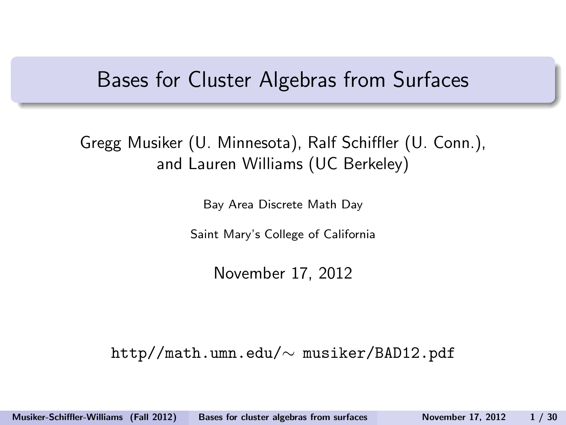#### Bases for Cluster Algebras from Surfaces

Gregg Musiker (U. Minnesota), Ralf Schiffler (U. Conn.), and Lauren Williams (UC Berkeley)

Bay Area Discrete Math Day

Saint Mary's College of California

<span id="page-0-0"></span>November 17, 2012

http//math.umn.edu/∼ musiker/BAD12.pdf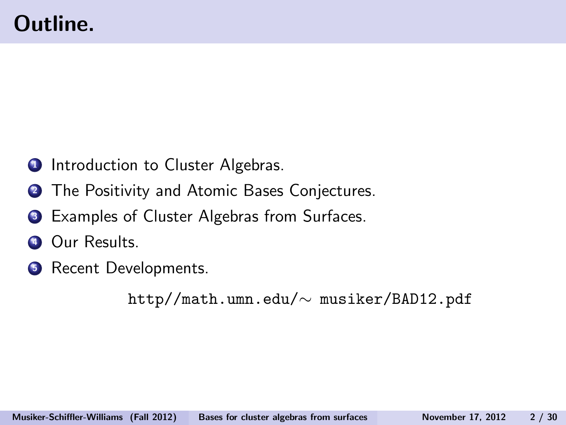- **1** Introduction to Cluster Algebras.
- **2** The Positivity and Atomic Bases Conjectures.
- **3** Examples of Cluster Algebras from Surfaces.
- **4 Our Results.**
- **6** Recent Developments.

http//math.umn.edu/∼ musiker/BAD12.pdf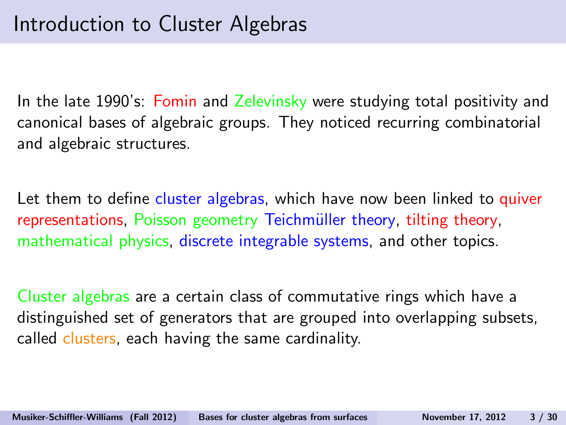In the late 1990's: Fomin and Zelevinsky were studying total positivity and canonical bases of algebraic groups. They noticed recurring combinatorial and algebraic structures.

Let them to define cluster algebras, which have now been linked to quiver representations, Poisson geometry Teichmüller theory, tilting theory, mathematical physics, discrete integrable systems, and other topics.

Cluster algebras are a certain class of commutative rings which have a distinguished set of generators that are grouped into overlapping subsets, called clusters, each having the same cardinality.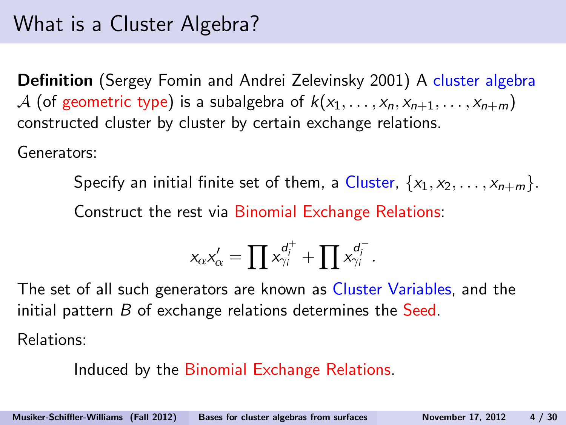### What is a Cluster Algebra?

Definition (Sergey Fomin and Andrei Zelevinsky 2001) A cluster algebra A (of geometric type) is a subalgebra of  $k(x_1, \ldots, x_n, x_{n+1}, \ldots, x_{n+m})$ constructed cluster by cluster by certain exchange relations.

Generators:

Specify an initial finite set of them, a Cluster,  $\{x_1, x_2, \ldots, x_{n+m}\}.$ Construct the rest via Binomial Exchange Relations:

$$
x_{\alpha}x'_{\alpha} = \prod x_{\gamma_i}^{d_i^+} + \prod x_{\gamma_i}^{d_i^-}.
$$

The set of all such generators are known as Cluster Variables, and the initial pattern  $B$  of exchange relations determines the Seed.

Relations:

Induced by the Binomial Exchange Relations.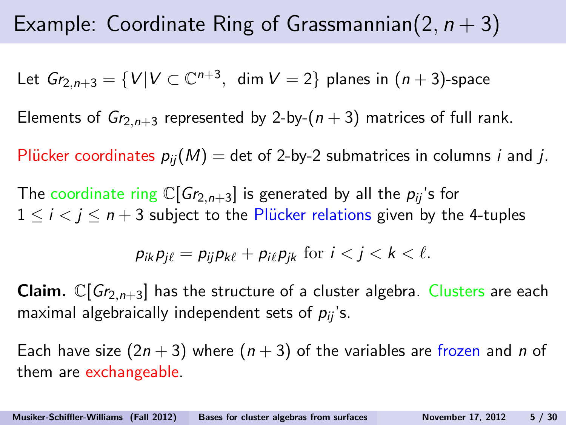### Example: Coordinate Ring of Grassmannian(2,  $n + 3$ )

Let  $Gr_{2,n+3} = \{V | V \subset \mathbb{C}^{n+3}, \text{ dim } V = 2\}$  planes in  $(n+3)$ -space

Elements of  $Gr_{2,n+3}$  represented by 2-by- $(n+3)$  matrices of full rank.

Plücker coordinates  $p_{ii}(M) =$  det of 2-by-2 submatrices in columns *i* and *j*.

The coordinate ring  $\mathbb{C}[Gr_{2,n+3}]$  is generated by all the  $p_{ii}$ 's for  $1 \le i \le j \le n+3$  subject to the Plücker relations given by the 4-tuples

$$
p_{ik}p_{j\ell}=p_{ij}p_{k\ell}+p_{i\ell}p_{jk} \text{ for } i < j < k < \ell.
$$

**Claim.**  $\mathbb{C}[Gr_{2,n+3}]$  has the structure of a cluster algebra. Clusters are each maximal algebraically independent sets of  $p_{ij}$ 's.

Each have size  $(2n + 3)$  where  $(n + 3)$  of the variables are frozen and n of them are exchangeable.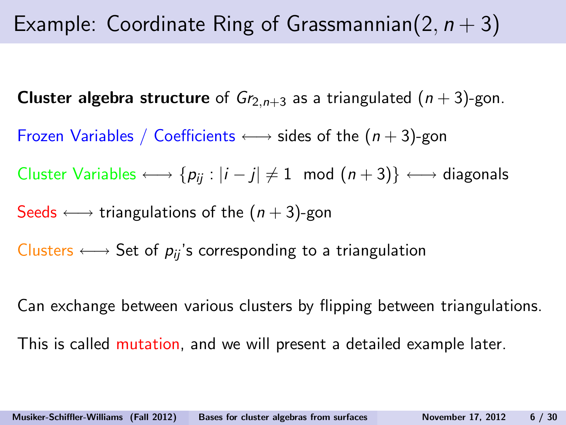### Example: Coordinate Ring of Grassmannian(2,  $n + 3$ )

**Cluster algebra structure** of  $Gr_{2,n+3}$  as a triangulated  $(n+3)$ -gon.

Frozen Variables / Coefficients  $\longleftrightarrow$  sides of the  $(n+3)$ -gon

Cluster Variables  $\longleftrightarrow$  { $p_{ij}$  :  $|i-j| \neq 1$  mod  $(n+3)$ }  $\longleftrightarrow$  diagonals

Seeds  $\longleftrightarrow$  triangulations of the  $(n+3)$ -gon

Clusters  $\longleftrightarrow$  Set of  $p_{ij}$ 's corresponding to a triangulation

Can exchange between various clusters by flipping between triangulations.

This is called mutation, and we will present a detailed example later.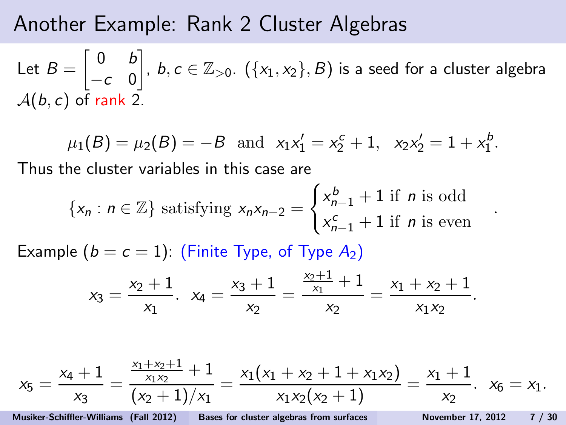#### Another Example: Rank 2 Cluster Algebras

Let  $B =$  $\begin{bmatrix} 0 & b \end{bmatrix}$  $-c$  0  $\Big],\ b,c\in\mathbb{Z}_{>0}.\ \left(\{ \textsf{x}_1,\textsf{x}_2 \},B \right)$  is a seed for a cluster algebra  $A(b, c)$  of rank 2.

$$
\mu_1(B) = \mu_2(B) = -B
$$
 and  $x_1x'_1 = x_2^c + 1$ ,  $x_2x'_2 = 1 + x_1^b$ .

Thus the cluster variables in this case are

$$
\{x_n : n \in \mathbb{Z}\} \text{ satisfying } x_n x_{n-2} = \begin{cases} x_{n-1}^b + 1 \text{ if } n \text{ is odd} \\ x_{n-1}^c + 1 \text{ if } n \text{ is even} \end{cases}
$$

.

Example  $(b = c = 1)$ : (Finite Type, of Type  $A_2$ )

$$
x_3=\frac{x_2+1}{x_1}, \ \ x_4=\frac{x_3+1}{x_2}=\frac{\frac{x_2+1}{x_1}+1}{x_2}=\frac{x_1+x_2+1}{x_1x_2}.
$$

$$
x_5 = \frac{x_4 + 1}{x_3} = \frac{\frac{x_1 + x_2 + 1}{x_1 x_2} + 1}{(x_2 + 1)/x_1} = \frac{x_1(x_1 + x_2 + 1 + x_1 x_2)}{x_1 x_2 (x_2 + 1)} = \frac{x_1 + 1}{x_2}. \quad x_6 = x_1.
$$
  
Musiker-Schiffler-Williams (Fall 2012) Bases for cluster algebras from surfaces November 17, 2012 7 / 30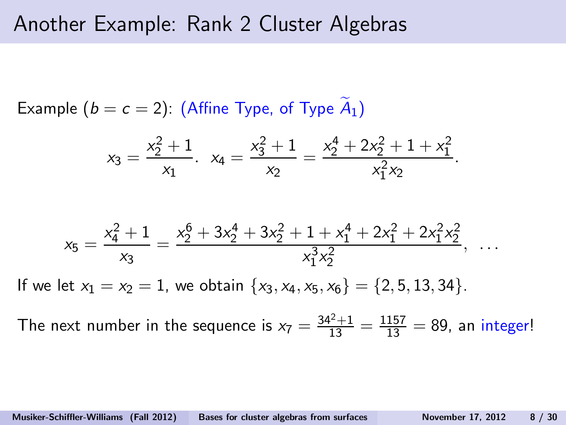#### Another Example: Rank 2 Cluster Algebras

Example  $(b = c = 2)$ : (Affine Type, of Type  $A_1$ )

$$
x_3 = \frac{x_2^2 + 1}{x_1}. \quad x_4 = \frac{x_3^2 + 1}{x_2} = \frac{x_2^4 + 2x_2^2 + 1 + x_1^2}{x_1^2 x_2}.
$$

$$
x_5 = \frac{x_4^2 + 1}{x_3} = \frac{x_2^6 + 3x_2^4 + 3x_2^2 + 1 + x_1^4 + 2x_1^2 + 2x_1^2 x_2^2}{x_1^3 x_2^2}, \quad \dots
$$
If we let  $x_1 = x_2 = 1$ , we obtain  $\{x_3, x_4, x_5, x_6\} = \{2, 5, 13, 34\}.$ 

The next number in the sequence is  $x_7 = \frac{34^2+1}{13} = \frac{1157}{13} = 89$ , an integer!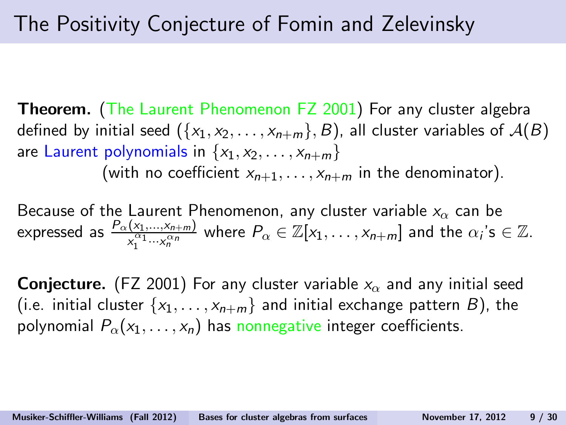**Theorem.** (The Laurent Phenomenon FZ 2001) For any cluster algebra defined by initial seed  $({x_1, x_2, \ldots, x_{n+m}}, B)$ , all cluster variables of  $A(B)$ are Laurent polynomials in  $\{x_1, x_2, \ldots, x_{n+m}\}$ 

(with no coefficient  $x_{n+1}, \ldots, x_{n+m}$  in the denominator).

Because of the Laurent Phenomenon, any cluster variable  $x_{\alpha}$  can be expressed as  $\frac{P_{\alpha}(x_1,...,x_{n+m})}{x_1^{\alpha_1}...x_n^{\alpha_n}}$  where  $P_{\alpha}\in\mathbb{Z}[x_1,\ldots,x_{n+m}]$  and the  $\alpha_i$ 's  $\in\mathbb{Z}$ .

**Conjecture.** (FZ 2001) For any cluster variable  $x<sub>o</sub>$  and any initial seed (i.e. initial cluster  $\{x_1, \ldots, x_{n+m}\}\$  and initial exchange pattern B), the polynomial  $P_{\alpha}(x_1, \ldots, x_n)$  has nonnegative integer coefficients.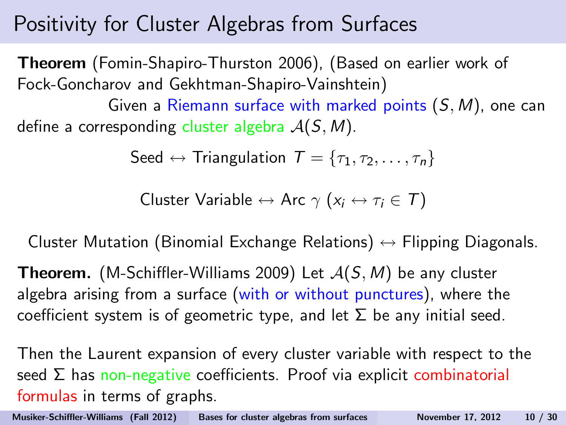### Positivity for Cluster Algebras from Surfaces

Theorem (Fomin-Shapiro-Thurston 2006), (Based on earlier work of Fock-Goncharov and Gekhtman-Shapiro-Vainshtein)

Given a Riemann surface with marked points  $(S, M)$ , one can define a corresponding cluster algebra  $A(S, M)$ .

$$
\mathsf{Seed} \leftrightarrow \mathsf{Triangulation}\ \mathcal{T} = \{\tau_1, \tau_2, \ldots, \tau_n\}
$$

Cluster Variable 
$$
\leftrightarrow
$$
 Arc  $\gamma$  ( $x_i \leftrightarrow \tau_i \in T$ )

Cluster Mutation (Binomial Exchange Relations)  $\leftrightarrow$  Flipping Diagonals.

**Theorem.** (M-Schiffler-Williams 2009) Let  $A(S, M)$  be any cluster algebra arising from a surface (with or without punctures), where the coefficient system is of geometric type, and let  $\Sigma$  be any initial seed.

Then the Laurent expansion of every cluster variable with respect to the seed  $\Sigma$  has non-negative coefficients. Proof via explicit combinatorial formulas in terms of graphs.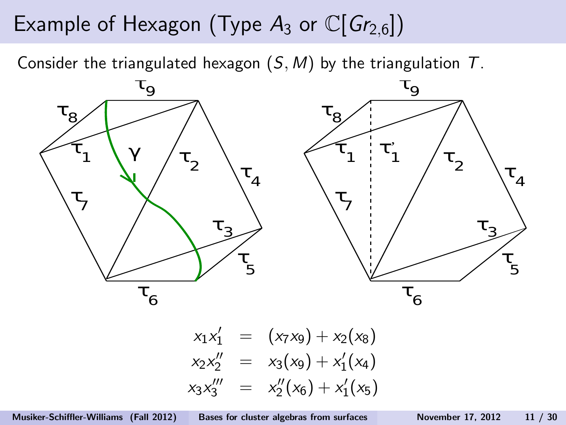# Example of Hexagon (Type  $A_3$  or  $\mathbb{C}[Gr_{2,6}])$

Consider the triangulated hexagon  $(S, M)$  by the triangulation  $T$ .



$$
x_1x_1' = (x_7x_9) + x_2(x_8)
$$
  
\n
$$
x_2x_2'' = x_3(x_9) + x_1'(x_4)
$$
  
\n
$$
x_3x_3'' = x_2''(x_6) + x_1'(x_5)
$$

Musiker-Schiffler-Williams (Fall 2012) [Bases for cluster algebras from surfaces](#page-0-0) November 17, 2012 11 / 30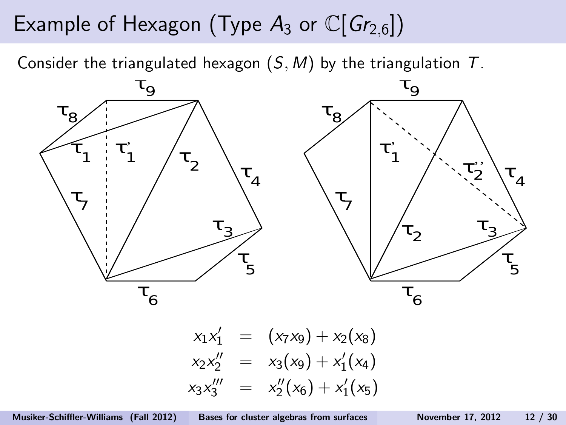# Example of Hexagon (Type  $A_3$  or  $\mathbb{C}[G_{r_{2,6}}]$ )

Consider the triangulated hexagon  $(S, M)$  by the triangulation  $T$ .



 $x_1x_1' = (x_7x_9) + x_2(x_8)$  $x_2x_2'' = x_3(x_9) + x_1'$  $y_1'(x_4)$  $x_3x_3''' = x_2'''$  $x_2''(x_6) + x_1'$  $y'_1(x_5)$ 

Musiker-Schiffler-Williams (Fall 2012) [Bases for cluster algebras from surfaces](#page-0-0) November 17, 2012 12 / 30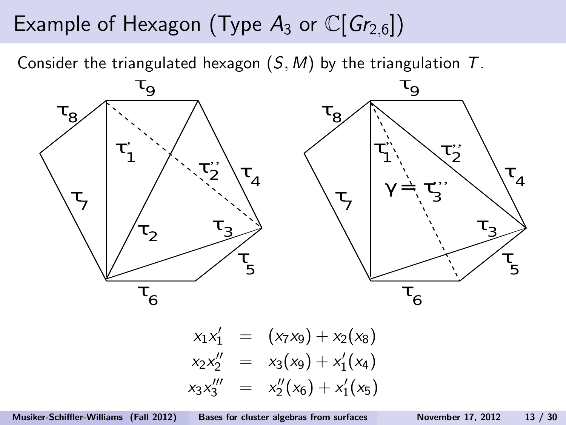### Example of Hexagon (Type  $A_3$  or  $\mathbb{C}[Gr_{2,6}])$

Consider the triangulated hexagon  $(S, M)$  by the triangulation  $T$ .



$$
x_1x_1' = (x_7x_9) + x_2(x_8)
$$
  
\n
$$
x_2x_2'' = x_3(x_9) + x_1'(x_4)
$$
  
\n
$$
x_3x_3'' = x_2''(x_6) + x_1'(x_5)
$$

Musiker-Schiffler-Williams (Fall 2012) [Bases for cluster algebras from surfaces](#page-0-0) November 17, 2012 13 / 30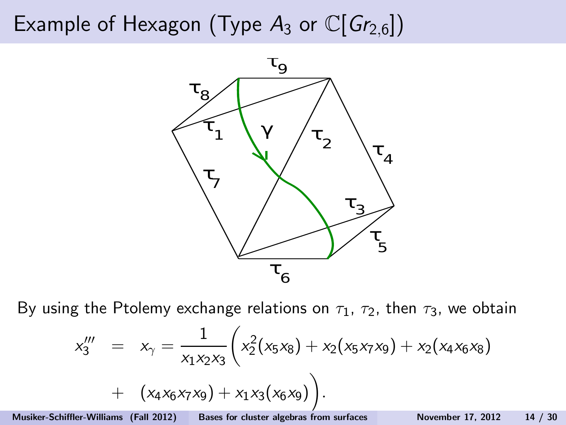# Example of Hexagon (Type  $A_3$  or  $\mathbb{C}[Gr_{2,6}]$ )



By using the Ptolemy exchange relations on  $\tau_1$ ,  $\tau_2$ , then  $\tau_3$ , we obtain

$$
x_3''' = x_7 = \frac{1}{x_1x_2x_3} \left( x_2^2(x_5x_8) + x_2(x_5x_7x_9) + x_2(x_4x_6x_8) + (x_4x_6x_7x_9) + x_1x_3(x_6x_9) \right).
$$

Musiker-Schiffler-Williams (Fall 2012) [Bases for cluster algebras from surfaces](#page-0-0) November 17, 2012 14 / 30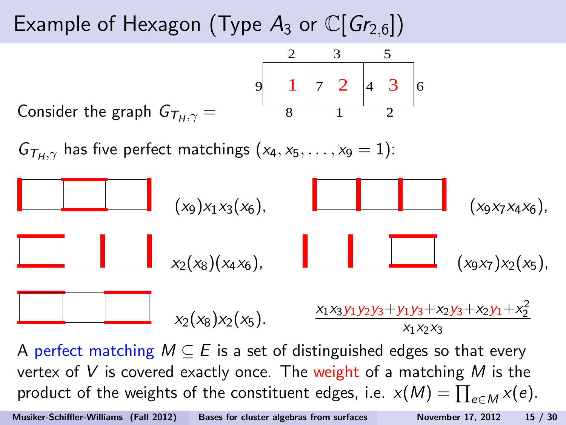# Example of Hexagon (Type  $A_3$  or  $\mathbb{C}[G_{r_{2,6}}]$ )

Consider the graph 
$$
G_{T_H, \gamma} =
$$
  
 $9 \t 1 \t 7 \t 2 \t 4 \t 3 \t 6$   
 $8 \t 1 \t 2$ 

 $G_{\tau_{\mu},\gamma}$  has five perfect matchings  $(x_4, x_5, \ldots, x_9 = 1)$ :



A perfect matching  $M \subseteq E$  is a set of distinguished edges so that every vertex of V is covered exactly once. The weight of a matching M is the product of the weights of the constituent edges, i.e.  $x(M) = \prod_{e \in M} x(e)$ .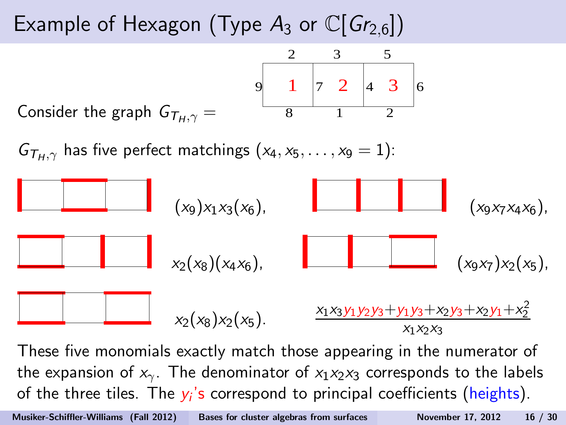# Example of Hexagon (Type  $A_3$  or  $\mathbb{C}[G_{r_{2,6}}]$ )

Consider the graph 
$$
G_{T_H, \gamma} =
$$
  
 $9 \t 1 \t 7 \t 2 \t 4 \t 3 \t 6$   
 $8 \t 1 \t 2$ 

 $G_{\tau_{H,\gamma}}$  has five perfect matchings  $(x_4, x_5, \ldots, x_9 = 1)$ :



These five monomials exactly match those appearing in the numerator of the expansion of  $x_{\gamma}$ . The denominator of  $x_1x_2x_3$  corresponds to the labels of the three tiles. The  $y_i$ 's correspond to principal coefficients (heights).

Musiker-Schiffler-Williams (Fall 2012) [Bases for cluster algebras from surfaces](#page-0-0) November 17, 2012 16 / 30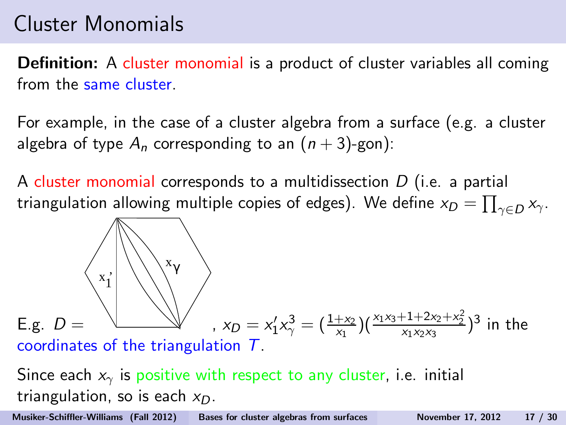### Cluster Monomials

Definition: A cluster monomial is a product of cluster variables all coming from the same cluster.

For example, in the case of a cluster algebra from a surface (e.g. a cluster algebra of type  $A_n$  corresponding to an  $(n+3)$ -gon):

A cluster monomial corresponds to a multidissection  $D$  (i.e. a partial triangulation allowing multiple copies of edges). We define  $\mathsf{x}_D = \prod_{\gamma \in D} \mathsf{x}_{\gamma}.$ 

E.g. 
$$
D =
$$
  
\nx<sub>1</sub>  
\n $x_{\gamma}$   
\n $x_{\gamma}$   
\n $x_{D} = x_{1}'x_{\gamma}^{3} = (\frac{1+x_{2}}{x_{1}})(\frac{x_{1}x_{3}+1+2x_{2}+x_{2}^{2}}{x_{1}x_{2}x_{3}})^{3}$  in the coordinates of the triangulation  $T$ .

Since each  $x<sub>γ</sub>$  is positive with respect to any cluster, i.e. initial triangulation, so is each  $x_D$ .

Musiker-Schiffler-Williams (Fall 2012) [Bases for cluster algebras from surfaces](#page-0-0) November 17, 2012 17 / 30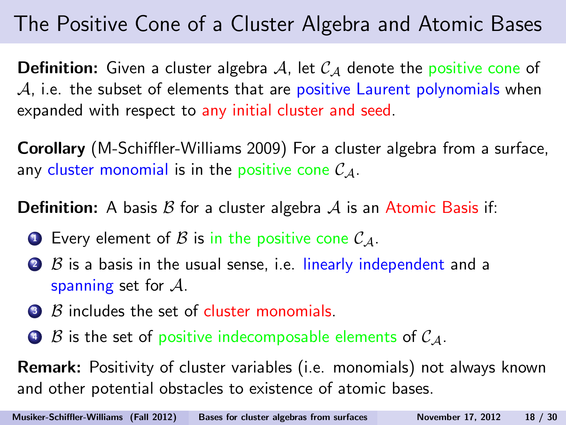### The Positive Cone of a Cluster Algebra and Atomic Bases

**Definition:** Given a cluster algebra A, let  $C_A$  denote the positive cone of  $A$ , i.e. the subset of elements that are positive Laurent polynomials when expanded with respect to any initial cluster and seed.

Corollary (M-Schiffler-Williams 2009) For a cluster algebra from a surface, any cluster monomial is in the positive cone  $\mathcal{C}_A$ .

**Definition:** A basis  $\beta$  for a cluster algebra  $\mathcal A$  is an Atomic Basis if:

- **Every element of B is in the positive cone**  $C_A$ **.**
- $\bullet$   $\beta$  is a basis in the usual sense, i.e. linearly independent and a spanning set for  $A$ .
- $\bullet$   $\beta$  includes the set of cluster monomials.
- $\bullet$  B is the set of positive indecomposable elements of  $C_A$ .

Remark: Positivity of cluster variables (i.e. monomials) not always known and other potential obstacles to existence of atomic bases.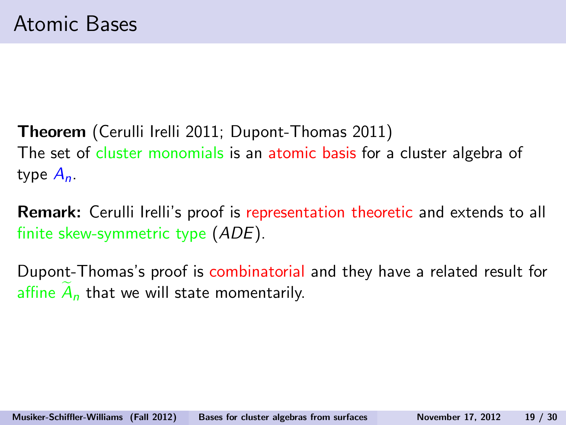Theorem (Cerulli Irelli 2011; Dupont-Thomas 2011) The set of cluster monomials is an atomic basis for a cluster algebra of type  $A_n$ .

Remark: Cerulli Irelli's proof is representation theoretic and extends to all finite skew-symmetric type (ADE).

Dupont-Thomas's proof is combinatorial and they have a related result for affine  $A_n$  that we will state momentarily.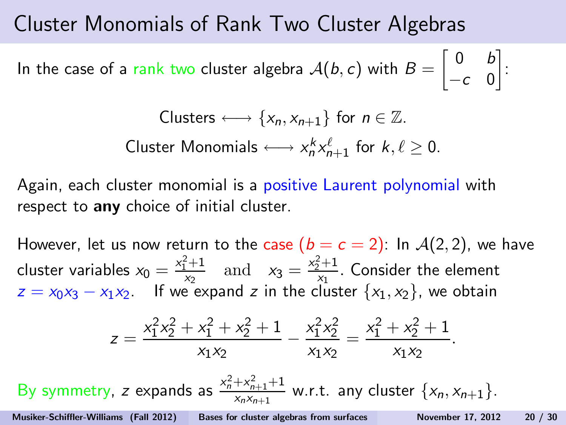#### Cluster Monomials of Rank Two Cluster Algebras

In the case of a rank two cluster algebra  $\mathcal{A}(b, c)$  with  $B =$  $\begin{bmatrix} 0 & b \end{bmatrix}$  $-c$  0 1 :

ClusterS ←→ {
$$
x_n
$$
,  $x_{n+1}$ } for  $n \in \mathbb{Z}$ .

\nCluster Monomials ←→  $x_n^k x_{n+1}^\ell$  for  $k, \ell \geq 0$ .

Again, each cluster monomial is a positive Laurent polynomial with respect to any choice of initial cluster.

However, let us now return to the case  $(b = c = 2)$ : In  $\mathcal{A}(2, 2)$ , we have cluster variables  $x_0 = \frac{x_1^2 + 1}{x_2}$  $x_2^2 + 1$  and  $x_3 = \frac{x_2^2 + 1}{x_1}$  $\frac{2^{n+1}}{x_1}$ . Consider the element  $z = x_0x_3 - x_1x_2$ . If we expand z in the cluster  $\{x_1, x_2\}$ , we obtain

$$
z=\frac{x_1^2x_2^2+x_1^2+x_2^2+1}{x_1x_2}-\frac{x_1^2x_2^2}{x_1x_2}=\frac{x_1^2+x_2^2+1}{x_1x_2}.
$$

By symmetry, z expands as  $\frac{x_n^2 + x_{n+1}^2 + 1}{x_n x_{n+1}}$  $\frac{1+\lambda_{n+1}+1}{x_nx_{n+1}}$  w.r.t. any cluster  $\{x_n, x_{n+1}\}.$ 

Musiker-Schiffler-Williams (Fall 2012) [Bases for cluster algebras from surfaces](#page-0-0) November 17, 2012 20 / 30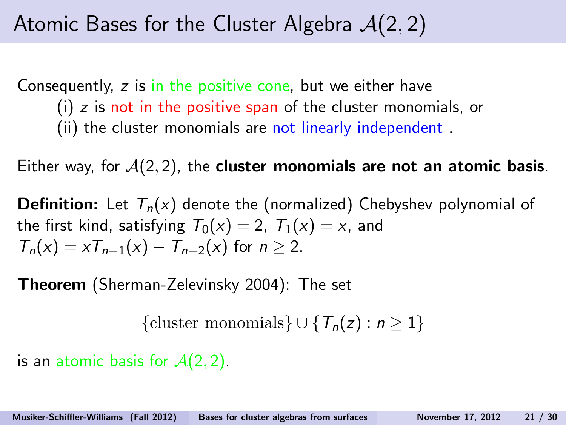### Atomic Bases for the Cluster Algebra  $A(2, 2)$

Consequently, z is in the positive cone, but we either have (i) z is not in the positive span of the cluster monomials, or (ii) the cluster monomials are not linearly independent .

Either way, for  $A(2, 2)$ , the **cluster monomials are not an atomic basis**.

**Definition:** Let  $T_n(x)$  denote the (normalized) Chebyshev polynomial of the first kind, satisfying  $T_0(x) = 2$ ,  $T_1(x) = x$ , and  $T_n(x) = xT_{n-1}(x) - T_{n-2}(x)$  for  $n > 2$ .

Theorem (Sherman-Zelevinsky 2004): The set

{cluster monomials}  $\cup \{T_n(z) : n \geq 1\}$ 

is an atomic basis for  $A(2, 2)$ .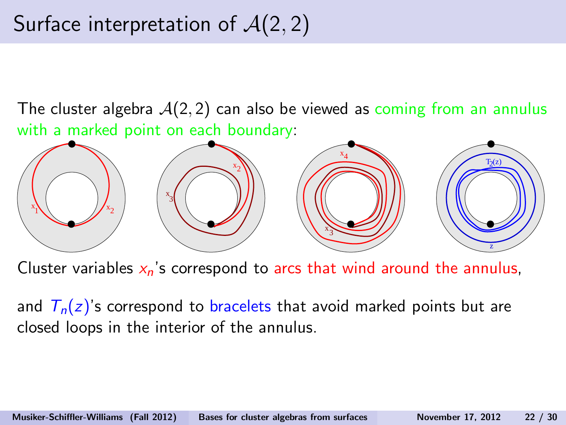# Surface interpretation of  $A(2, 2)$

The cluster algebra  $A(2, 2)$  can also be viewed as coming from an annulus with a marked point on each boundary:



Cluster variables  $x_n$ 's correspond to arcs that wind around the annulus,

and  $T_n(z)$ 's correspond to bracelets that avoid marked points but are closed loops in the interior of the annulus.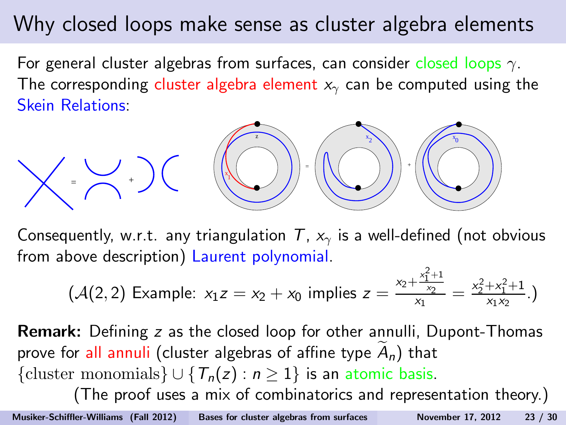### Why closed loops make sense as cluster algebra elements

For general cluster algebras from surfaces, can consider closed loops  $\gamma$ . The corresponding cluster algebra element  $x<sub>y</sub>$  can be computed using the Skein Relations:



Consequently, w.r.t. any triangulation  $T$ ,  $x<sub>y</sub>$  is a well-defined (not obvious from above description) Laurent polynomial.

$$
(\mathcal{A}(2,2) \text{ Example: } x_1z = x_2 + x_0 \text{ implies } z = \frac{x_2 + \frac{x_1^2 + 1}{x_2}}{x_1} = \frac{x_2^2 + x_1^2 + 1}{x_1x_2}.)
$$

Remark: Defining z as the closed loop for other annulli, Dupont-Thomas prove for all annuli (cluster algebras of affine type  $A_n$ ) that {cluster monomials}  $\cup$  { $T_n(z)$  :  $n \ge 1$ } is an atomic basis. (The proof uses a mix of combinatorics and representation theory.)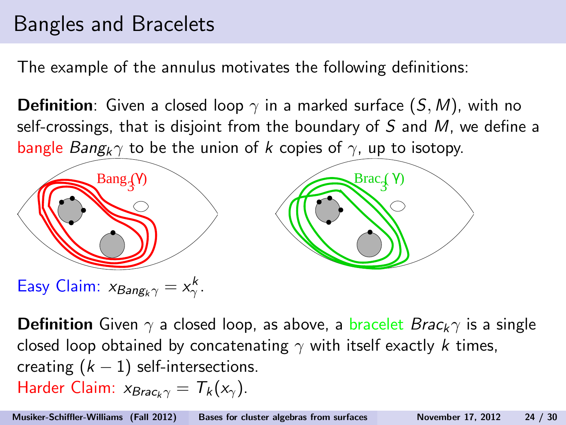### Bangles and Bracelets

The example of the annulus motivates the following definitions:

**Definition**: Given a closed loop  $\gamma$  in a marked surface  $(S, M)$ , with no self-crossings, that is disjoint from the boundary of S and M, we define a bangle Bang<sub>k</sub> $\gamma$  to be the union of k copies of  $\gamma$ , up to isotopy.



**Definition** Given  $\gamma$  a closed loop, as above, a bracelet  $Brac_k \gamma$  is a single closed loop obtained by concatenating  $\gamma$  with itself exactly k times, creating  $(k - 1)$  self-intersections. Harder Claim:  $x_{Brac. \gamma} = T_k(x_\gamma)$ .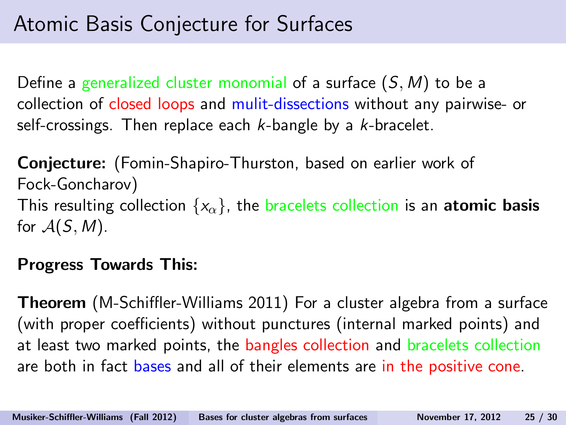Define a generalized cluster monomial of a surface  $(S, M)$  to be a collection of closed loops and mulit-dissections without any pairwise- or self-crossings. Then replace each  $k$ -bangle by a  $k$ -bracelet.

Conjecture: (Fomin-Shapiro-Thurston, based on earlier work of Fock-Goncharov) This resulting collection  $\{x_\alpha\}$ , the bracelets collection is an atomic basis for  $A(S, M)$ .

#### Progress Towards This:

Theorem (M-Schiffler-Williams 2011) For a cluster algebra from a surface (with proper coefficients) without punctures (internal marked points) and at least two marked points, the bangles collection and bracelets collection are both in fact bases and all of their elements are in the positive cone.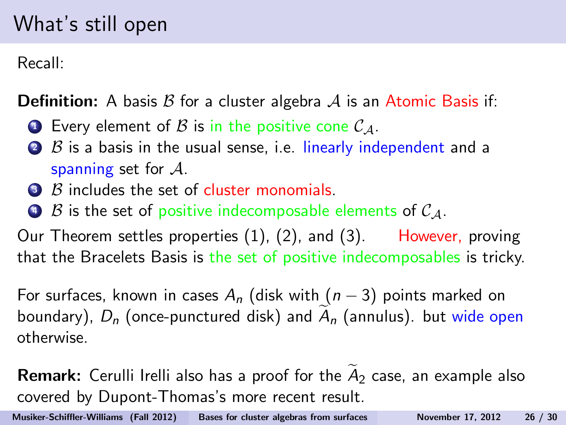### What's still open

Recall:

**Definition:** A basis  $\beta$  for a cluster algebra  $\mathcal A$  is an Atomic Basis if:

- **1** Every element of B is in the positive cone  $\mathcal{C}_A$ .
- $\bullet$   $\beta$  is a basis in the usual sense, i.e. linearly independent and a spanning set for  $A$ .
- **3** B includes the set of cluster monomials.
- $\bullet$  B is the set of positive indecomposable elements of  $C_A$ .

Our Theorem settles properties (1), (2), and (3). However, proving that the Bracelets Basis is the set of positive indecomposables is tricky.

For surfaces, known in cases  $A_n$  (disk with  $(n-3)$  points marked on boundary),  $D_n$  (once-punctured disk) and  $A_n$  (annulus). but wide open otherwise.

**Remark:** Cerulli Irelli also has a proof for the  $A_2$  case, an example also covered by Dupont-Thomas's more recent result.

Musiker-Schiffler-Williams (Fall 2012) [Bases for cluster algebras from surfaces](#page-0-0) November 17, 2012 26 / 30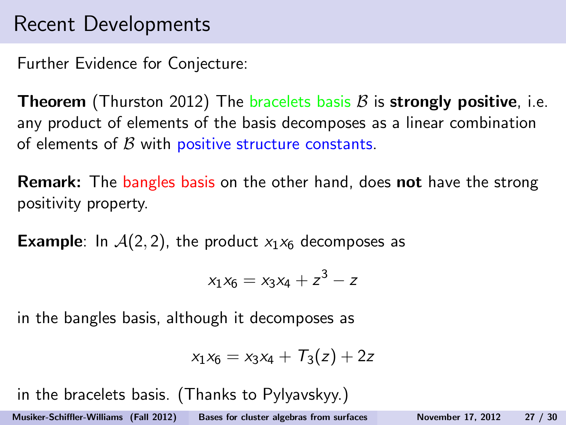### Recent Developments

Further Evidence for Conjecture:

**Theorem** (Thurston 2012) The bracelets basis  $\beta$  is **strongly positive**, i.e. any product of elements of the basis decomposes as a linear combination of elements of  $\beta$  with positive structure constants.

**Remark:** The bangles basis on the other hand, does not have the strong positivity property.

**Example:** In  $A(2, 2)$ , the product  $x_1x_6$  decomposes as

$$
x_1x_6 = x_3x_4 + z^3 - z
$$

in the bangles basis, although it decomposes as

$$
x_1x_6=x_3x_4+T_3(z)+2z
$$

in the bracelets basis. (Thanks to Pylyavskyy.)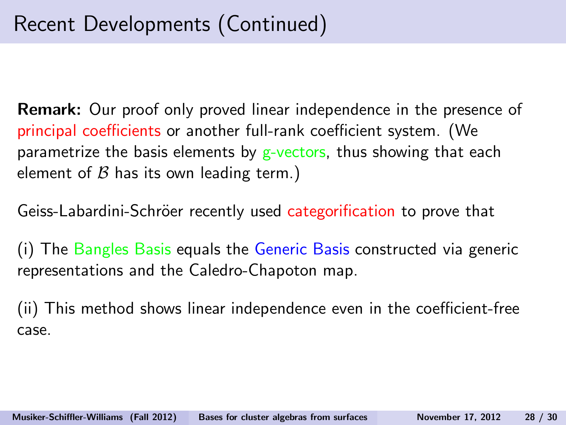Remark: Our proof only proved linear independence in the presence of principal coefficients or another full-rank coefficient system. (We parametrize the basis elements by  $g$ -vectors, thus showing that each element of  $\beta$  has its own leading term.)

Geiss-Labardini-Schröer recently used categorification to prove that

The Bangles Basis equals the Generic Basis constructed via generic representations and the Caledro-Chapoton map.

(ii) This method shows linear independence even in the coefficient-free case.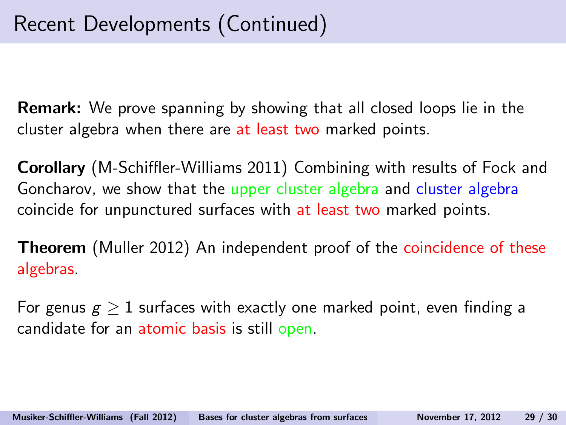Remark: We prove spanning by showing that all closed loops lie in the cluster algebra when there are at least two marked points.

Corollary (M-Schiffler-Williams 2011) Combining with results of Fock and Goncharov, we show that the upper cluster algebra and cluster algebra coincide for unpunctured surfaces with at least two marked points.

Theorem (Muller 2012) An independent proof of the coincidence of these algebras.

For genus  $g > 1$  surfaces with exactly one marked point, even finding a candidate for an atomic basis is still open.